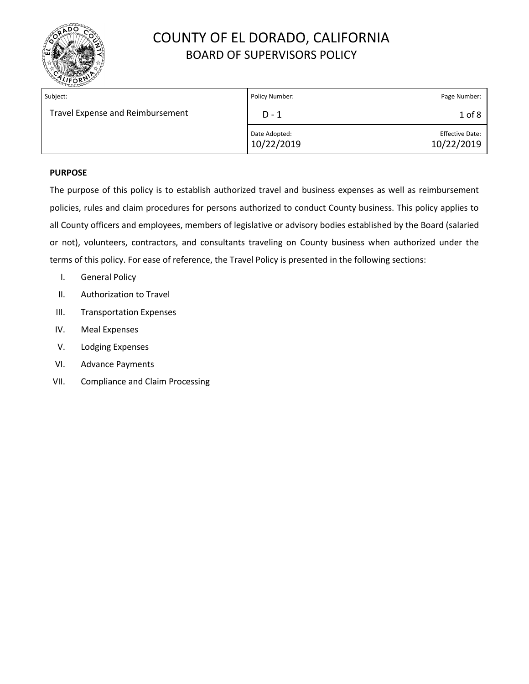

| Subject:                         | Policy Number:              | Page Number:                         |
|----------------------------------|-----------------------------|--------------------------------------|
| Travel Expense and Reimbursement | $D - 1$                     | $1$ of $8$                           |
|                                  | Date Adopted:<br>10/22/2019 | <b>Effective Date:</b><br>10/22/2019 |

#### **PURPOSE**

The purpose of this policy is to establish authorized travel and business expenses as well as reimbursement policies, rules and claim procedures for persons authorized to conduct County business. This policy applies to all County officers and employees, members of legislative or advisory bodies established by the Board (salaried or not), volunteers, contractors, and consultants traveling on County business when authorized under the terms of this policy. For ease of reference, the Travel Policy is presented in the following sections:

- I. General Policy
- II. Authorization to Travel
- III. Transportation Expenses
- IV. Meal Expenses
- V. Lodging Expenses
- VI. Advance Payments
- VII. Compliance and Claim Processing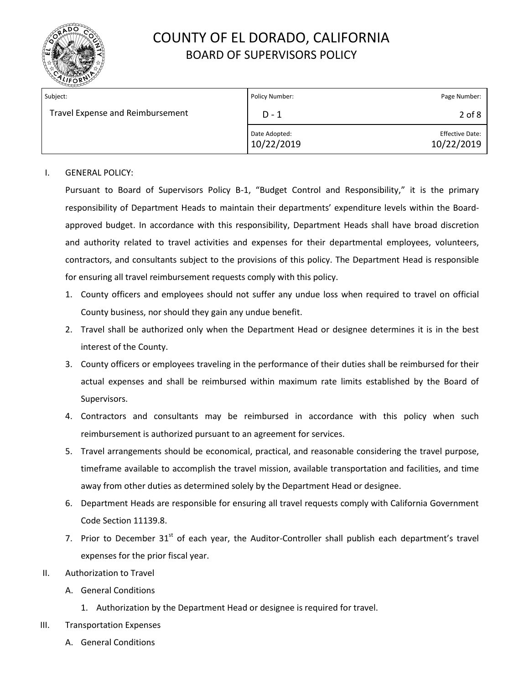

| Subject:                         | Policy Number:              | Page Number:                         |
|----------------------------------|-----------------------------|--------------------------------------|
| Travel Expense and Reimbursement | D - 1                       | $2$ of $8$                           |
|                                  | Date Adopted:<br>10/22/2019 | <b>Effective Date:</b><br>10/22/2019 |

#### I. GENERAL POLICY:

Pursuant to Board of Supervisors Policy B-1, "Budget Control and Responsibility," it is the primary responsibility of Department Heads to maintain their departments' expenditure levels within the Boardapproved budget. In accordance with this responsibility, Department Heads shall have broad discretion and authority related to travel activities and expenses for their departmental employees, volunteers, contractors, and consultants subject to the provisions of this policy. The Department Head is responsible for ensuring all travel reimbursement requests comply with this policy.

- 1. County officers and employees should not suffer any undue loss when required to travel on official County business, nor should they gain any undue benefit.
- 2. Travel shall be authorized only when the Department Head or designee determines it is in the best interest of the County.
- 3. County officers or employees traveling in the performance of their duties shall be reimbursed for their actual expenses and shall be reimbursed within maximum rate limits established by the Board of Supervisors.
- 4. Contractors and consultants may be reimbursed in accordance with this policy when such reimbursement is authorized pursuant to an agreement for services.
- 5. Travel arrangements should be economical, practical, and reasonable considering the travel purpose, timeframe available to accomplish the travel mission, available transportation and facilities, and time away from other duties as determined solely by the Department Head or designee.
- 6. Department Heads are responsible for ensuring all travel requests comply with California Government Code Section 11139.8.
- 7. Prior to December  $31<sup>st</sup>$  of each year, the Auditor-Controller shall publish each department's travel expenses for the prior fiscal year.
- II. Authorization to Travel
	- A. General Conditions
		- 1. Authorization by the Department Head or designee is required for travel.
- III. Transportation Expenses
	- A. General Conditions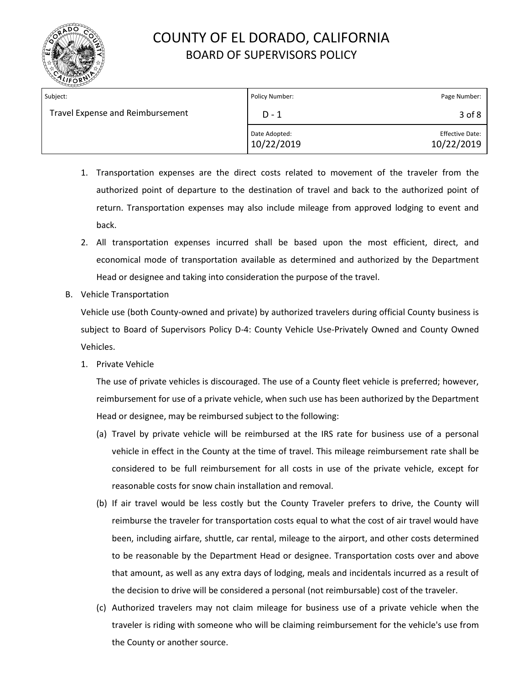

| Subject:                         | Policy Number:              | Page Number:                         |
|----------------------------------|-----------------------------|--------------------------------------|
| Travel Expense and Reimbursement | $D-1$                       | 3 of 8                               |
|                                  | Date Adopted:<br>10/22/2019 | <b>Effective Date:</b><br>10/22/2019 |

- 1. Transportation expenses are the direct costs related to movement of the traveler from the authorized point of departure to the destination of travel and back to the authorized point of return. Transportation expenses may also include mileage from approved lodging to event and back.
- 2. All transportation expenses incurred shall be based upon the most efficient, direct, and economical mode of transportation available as determined and authorized by the Department Head or designee and taking into consideration the purpose of the travel.
- B. Vehicle Transportation

Vehicle use (both County-owned and private) by authorized travelers during official County business is subject to Board of Supervisors Policy D-4: County Vehicle Use-Privately Owned and County Owned Vehicles.

1. Private Vehicle

The use of private vehicles is discouraged. The use of a County fleet vehicle is preferred; however, reimbursement for use of a private vehicle, when such use has been authorized by the Department Head or designee, may be reimbursed subject to the following:

- (a) Travel by private vehicle will be reimbursed at the IRS rate for business use of a personal vehicle in effect in the County at the time of travel. This mileage reimbursement rate shall be considered to be full reimbursement for all costs in use of the private vehicle, except for reasonable costs for snow chain installation and removal.
- (b) If air travel would be less costly but the County Traveler prefers to drive, the County will reimburse the traveler for transportation costs equal to what the cost of air travel would have been, including airfare, shuttle, car rental, mileage to the airport, and other costs determined to be reasonable by the Department Head or designee. Transportation costs over and above that amount, as well as any extra days of lodging, meals and incidentals incurred as a result of the decision to drive will be considered a personal (not reimbursable) cost of the traveler.
- (c) Authorized travelers may not claim mileage for business use of a private vehicle when the traveler is riding with someone who will be claiming reimbursement for the vehicle's use from the County or another source.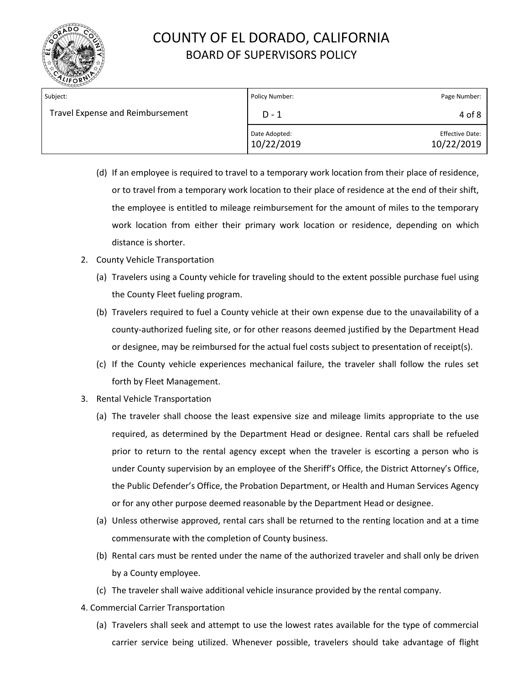

| Subject:                         | Policy Number:              | Page Number:                         |
|----------------------------------|-----------------------------|--------------------------------------|
| Travel Expense and Reimbursement | D - 1                       | 4 of 8                               |
|                                  | Date Adopted:<br>10/22/2019 | <b>Effective Date:</b><br>10/22/2019 |

- (d) If an employee is required to travel to a temporary work location from their place of residence, or to travel from a temporary work location to their place of residence at the end of their shift, the employee is entitled to mileage reimbursement for the amount of miles to the temporary work location from either their primary work location or residence, depending on which distance is shorter.
- 2. County Vehicle Transportation
	- (a) Travelers using a County vehicle for traveling should to the extent possible purchase fuel using the County Fleet fueling program.
	- (b) Travelers required to fuel a County vehicle at their own expense due to the unavailability of a county-authorized fueling site, or for other reasons deemed justified by the Department Head or designee, may be reimbursed for the actual fuel costs subject to presentation of receipt(s).
	- (c) If the County vehicle experiences mechanical failure, the traveler shall follow the rules set forth by Fleet Management.
- 3. Rental Vehicle Transportation
	- (a) The traveler shall choose the least expensive size and mileage limits appropriate to the use required, as determined by the Department Head or designee. Rental cars shall be refueled prior to return to the rental agency except when the traveler is escorting a person who is under County supervision by an employee of the Sheriff's Office, the District Attorney's Office, the Public Defender's Office, the Probation Department, or Health and Human Services Agency or for any other purpose deemed reasonable by the Department Head or designee.
	- (a) Unless otherwise approved, rental cars shall be returned to the renting location and at a time commensurate with the completion of County business.
	- (b) Rental cars must be rented under the name of the authorized traveler and shall only be driven by a County employee.
	- (c) The traveler shall waive additional vehicle insurance provided by the rental company.
- 4. Commercial Carrier Transportation
	- (a) Travelers shall seek and attempt to use the lowest rates available for the type of commercial carrier service being utilized. Whenever possible, travelers should take advantage of flight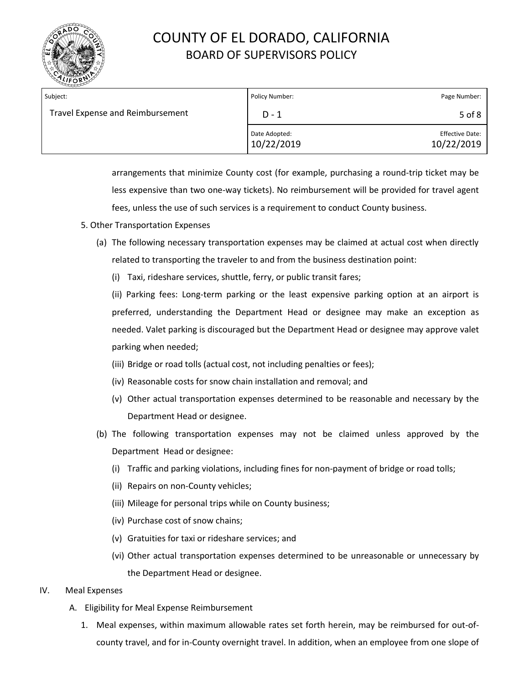

| Subject:                         | Policy Number:              | Page Number:                         |
|----------------------------------|-----------------------------|--------------------------------------|
| Travel Expense and Reimbursement | $D - 1$                     | 5 of 8                               |
|                                  | Date Adopted:<br>10/22/2019 | <b>Effective Date:</b><br>10/22/2019 |

arrangements that minimize County cost (for example, purchasing a round-trip ticket may be less expensive than two one-way tickets). No reimbursement will be provided for travel agent fees, unless the use of such services is a requirement to conduct County business.

- 5. Other Transportation Expenses
	- (a) The following necessary transportation expenses may be claimed at actual cost when directly related to transporting the traveler to and from the business destination point:
		- (i) Taxi, rideshare services, shuttle, ferry, or public transit fares;

(ii) Parking fees: Long-term parking or the least expensive parking option at an airport is preferred, understanding the Department Head or designee may make an exception as needed. Valet parking is discouraged but the Department Head or designee may approve valet parking when needed;

- (iii) Bridge or road tolls (actual cost, not including penalties or fees);
- (iv) Reasonable costs for snow chain installation and removal; and
- (v) Other actual transportation expenses determined to be reasonable and necessary by the Department Head or designee.
- (b) The following transportation expenses may not be claimed unless approved by the Department Head or designee:
	- (i) Traffic and parking violations, including fines for non-payment of bridge or road tolls;
	- (ii) Repairs on non-County vehicles;
	- (iii) Mileage for personal trips while on County business;
	- (iv) Purchase cost of snow chains;
	- (v) Gratuities for taxi or rideshare services; and
	- (vi) Other actual transportation expenses determined to be unreasonable or unnecessary by the Department Head or designee.
- IV. Meal Expenses
	- A. Eligibility for Meal Expense Reimbursement
		- 1. Meal expenses, within maximum allowable rates set forth herein, may be reimbursed for out-ofcounty travel, and for in-County overnight travel. In addition, when an employee from one slope of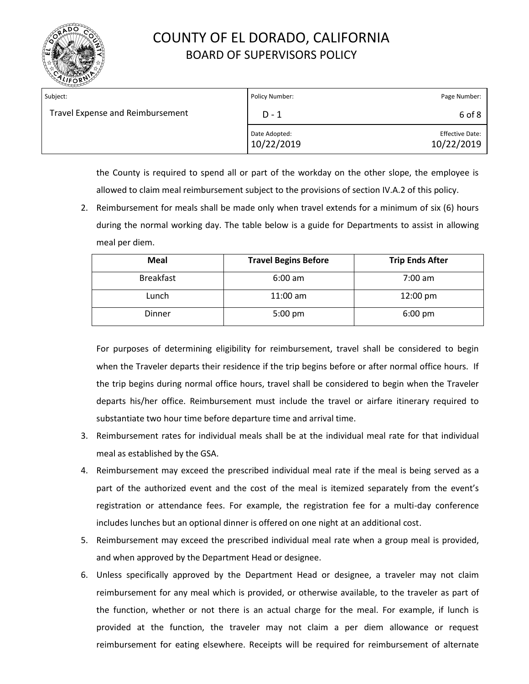

| Subject:                         | Policy Number:              | Page Number:                         |
|----------------------------------|-----------------------------|--------------------------------------|
| Travel Expense and Reimbursement | $D - 1$                     | 6 of 8                               |
|                                  | Date Adopted:<br>10/22/2019 | <b>Effective Date:</b><br>10/22/2019 |

the County is required to spend all or part of the workday on the other slope, the employee is allowed to claim meal reimbursement subject to the provisions of section IV.A.2 of this policy.

2. Reimbursement for meals shall be made only when travel extends for a minimum of six (6) hours during the normal working day. The table below is a guide for Departments to assist in allowing meal per diem.

| <b>Meal</b>      | <b>Travel Begins Before</b> | <b>Trip Ends After</b> |
|------------------|-----------------------------|------------------------|
| <b>Breakfast</b> | $6:00$ am                   | $7:00$ am              |
| Lunch            | $11:00$ am                  | $12:00 \text{ pm}$     |
| Dinner           | $5:00 \text{ pm}$           | $6:00 \text{ pm}$      |

For purposes of determining eligibility for reimbursement, travel shall be considered to begin when the Traveler departs their residence if the trip begins before or after normal office hours. If the trip begins during normal office hours, travel shall be considered to begin when the Traveler departs his/her office. Reimbursement must include the travel or airfare itinerary required to substantiate two hour time before departure time and arrival time.

- 3. Reimbursement rates for individual meals shall be at the individual meal rate for that individual meal as established by the GSA.
- 4. Reimbursement may exceed the prescribed individual meal rate if the meal is being served as a part of the authorized event and the cost of the meal is itemized separately from the event's registration or attendance fees. For example, the registration fee for a multi-day conference includes lunches but an optional dinner is offered on one night at an additional cost.
- 5. Reimbursement may exceed the prescribed individual meal rate when a group meal is provided, and when approved by the Department Head or designee.
- 6. Unless specifically approved by the Department Head or designee, a traveler may not claim reimbursement for any meal which is provided, or otherwise available, to the traveler as part of the function, whether or not there is an actual charge for the meal. For example, if lunch is provided at the function, the traveler may not claim a per diem allowance or request reimbursement for eating elsewhere. Receipts will be required for reimbursement of alternate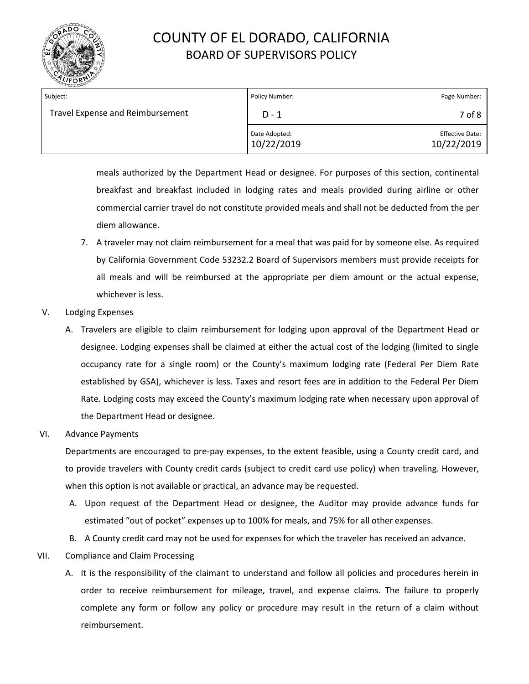

| Subject:                         | Policy Number:              | Page Number:                         |
|----------------------------------|-----------------------------|--------------------------------------|
| Travel Expense and Reimbursement | $D - 1$                     | 7 of 8                               |
|                                  | Date Adopted:<br>10/22/2019 | <b>Effective Date:</b><br>10/22/2019 |

meals authorized by the Department Head or designee. For purposes of this section, continental breakfast and breakfast included in lodging rates and meals provided during airline or other commercial carrier travel do not constitute provided meals and shall not be deducted from the per diem allowance.

- 7. A traveler may not claim reimbursement for a meal that was paid for by someone else. As required by California Government Code 53232.2 Board of Supervisors members must provide receipts for all meals and will be reimbursed at the appropriate per diem amount or the actual expense, whichever is less.
- V. Lodging Expenses
	- A. Travelers are eligible to claim reimbursement for lodging upon approval of the Department Head or designee. Lodging expenses shall be claimed at either the actual cost of the lodging (limited to single occupancy rate for a single room) or the County's maximum lodging rate (Federal Per Diem Rate established by GSA), whichever is less. Taxes and resort fees are in addition to the Federal Per Diem Rate. Lodging costs may exceed the County's maximum lodging rate when necessary upon approval of the Department Head or designee.
- VI. Advance Payments

Departments are encouraged to pre-pay expenses, to the extent feasible, using a County credit card, and to provide travelers with County credit cards (subject to credit card use policy) when traveling. However, when this option is not available or practical, an advance may be requested.

- A. Upon request of the Department Head or designee, the Auditor may provide advance funds for estimated "out of pocket" expenses up to 100% for meals, and 75% for all other expenses.
- B. A County credit card may not be used for expenses for which the traveler has received an advance.
- VII. Compliance and Claim Processing
	- A. It is the responsibility of the claimant to understand and follow all policies and procedures herein in order to receive reimbursement for mileage, travel, and expense claims. The failure to properly complete any form or follow any policy or procedure may result in the return of a claim without reimbursement.